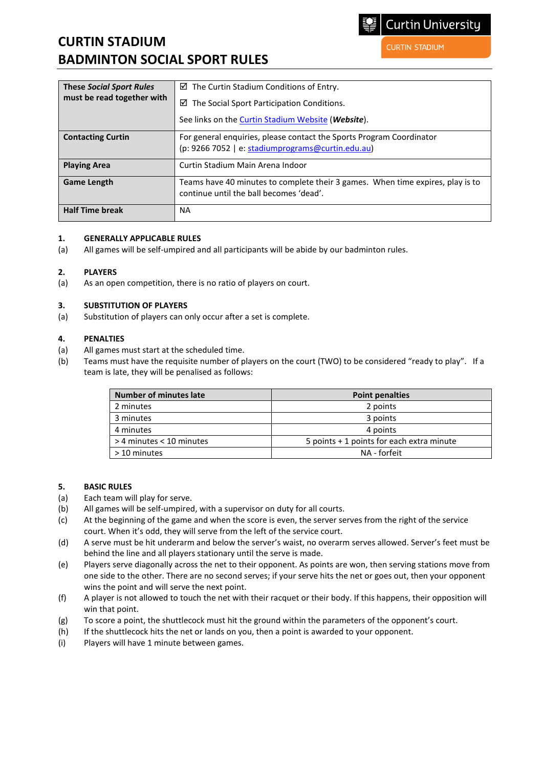# **CURTIN STADIUM BADMINTON SOCIAL SPORT RULES**

**CURTIN STADIUM** 

| <b>These Social Sport Rules</b><br>must be read together with | $\boxtimes$ The Curtin Stadium Conditions of Entry.                                                                       |
|---------------------------------------------------------------|---------------------------------------------------------------------------------------------------------------------------|
|                                                               | The Social Sport Participation Conditions.<br>☑                                                                           |
|                                                               | See links on the Curtin Stadium Website (Website).                                                                        |
| <b>Contacting Curtin</b>                                      | For general enquiries, please contact the Sports Program Coordinator<br>(p: 9266 7052   e: stadiumprograms@curtin.edu.au) |
| <b>Playing Area</b>                                           | Curtin Stadium Main Arena Indoor                                                                                          |
| <b>Game Length</b>                                            | Teams have 40 minutes to complete their 3 games. When time expires, play is to<br>continue until the ball becomes 'dead'. |
| <b>Half Time break</b>                                        | <b>NA</b>                                                                                                                 |

## **1. GENERALLY APPLICABLE RULES**

(a) All games will be self-umpired and all participants will be abide by our badminton rules.

## **2. PLAYERS**

(a) As an open competition, there is no ratio of players on court.

## **3. SUBSTITUTION OF PLAYERS**

(a) Substitution of players can only occur after a set is complete.

## **4. PENALTIES**

- (a) All games must start at the scheduled time.
- (b) Teams must have the requisite number of players on the court (TWO) to be considered "ready to play". If a team is late, they will be penalised as follows:

| <b>Number of minutes late</b> | <b>Point penalties</b>                    |
|-------------------------------|-------------------------------------------|
| 2 minutes                     | 2 points                                  |
| 3 minutes                     | 3 points                                  |
| 4 minutes                     | 4 points                                  |
| > 4 minutes < 10 minutes      | 5 points + 1 points for each extra minute |
| > 10 minutes                  | NA - forfeit                              |

## **5. BASIC RULES**

- (a) Each team will play for serve.
- (b) All games will be self-umpired, with a supervisor on duty for all courts.
- (c) At the beginning of the game and when the score is even, the server serves from the right of the service court. When it's odd, they will serve from the left of the service court.
- (d) A serve must be hit underarm and below the server's waist, no overarm serves allowed. Server's feet must be behind the line and all players stationary until the serve is made.
- (e) Players serve diagonally across the net to their opponent. As points are won, then serving stations move from one side to the other. There are no second serves; if your serve hits the net or goes out, then your opponent wins the point and will serve the next point.
- (f) A player is not allowed to touch the net with their racquet or their body. If this happens, their opposition will win that point.
- (g) To score a point, the shuttlecock must hit the ground within the parameters of the opponent's court.
- (h) If the shuttlecock hits the net or lands on you, then a point is awarded to your opponent.
- (i) Players will have 1 minute between games.